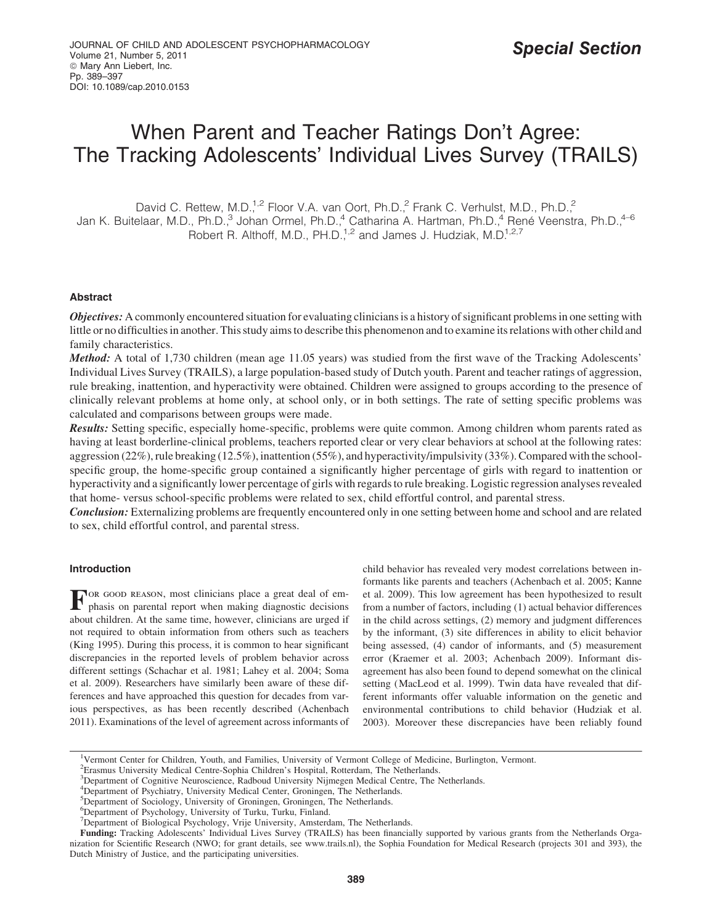# When Parent and Teacher Ratings Don't Agree: The Tracking Adolescents' Individual Lives Survey (TRAILS)

David C. Rettew, M.D.<sup>1,2</sup> Floor V.A. van Oort, Ph.D.,<sup>2</sup> Frank C. Verhulst, M.D., Ph.D.,<sup>2</sup>

Jan K. Buitelaar, M.D., Ph.D.,<sup>3</sup> Johan Ormel, Ph.D.,<sup>4</sup> Catharina A. Hartman, Ph.D.,<sup>4</sup> René Veenstra, Ph.D.,<sup>4–6</sup> Robert R. Althoff, M.D., PH.D.<sup>1,2</sup> and James J. Hudziak, M.D.<sup>1,2,7</sup>

## Abstract

**Objectives:** A commonly encountered situation for evaluating clinicians is a history of significant problems in one setting with little or no difficulties in another. This study aims to describe this phenomenon and to examine its relations with other child and family characteristics.

Method: A total of 1,730 children (mean age 11.05 years) was studied from the first wave of the Tracking Adolescents' Individual Lives Survey (TRAILS), a large population-based study of Dutch youth. Parent and teacher ratings of aggression, rule breaking, inattention, and hyperactivity were obtained. Children were assigned to groups according to the presence of clinically relevant problems at home only, at school only, or in both settings. The rate of setting specific problems was calculated and comparisons between groups were made.

Results: Setting specific, especially home-specific, problems were quite common. Among children whom parents rated as having at least borderline-clinical problems, teachers reported clear or very clear behaviors at school at the following rates: aggression (22%), rule breaking (12.5%), inattention (55%), and hyperactivity/impulsivity (33%). Compared with the schoolspecific group, the home-specific group contained a significantly higher percentage of girls with regard to inattention or hyperactivity and a significantly lower percentage of girls with regards to rule breaking. Logistic regression analyses revealed that home- versus school-specific problems were related to sex, child effortful control, and parental stress.

**Conclusion:** Externalizing problems are frequently encountered only in one setting between home and school and are related to sex, child effortful control, and parental stress.

## Introduction

FOR GOOD REASON, most clinicians place a great deal of em-<br>phasis on parental report when making diagnostic decisions about children. At the same time, however, clinicians are urged if not required to obtain information from others such as teachers (King 1995). During this process, it is common to hear significant discrepancies in the reported levels of problem behavior across different settings (Schachar et al. 1981; Lahey et al. 2004; Soma et al. 2009). Researchers have similarly been aware of these differences and have approached this question for decades from various perspectives, as has been recently described (Achenbach 2011). Examinations of the level of agreement across informants of child behavior has revealed very modest correlations between informants like parents and teachers (Achenbach et al. 2005; Kanne et al. 2009). This low agreement has been hypothesized to result from a number of factors, including (1) actual behavior differences in the child across settings, (2) memory and judgment differences by the informant, (3) site differences in ability to elicit behavior being assessed, (4) candor of informants, and (5) measurement error (Kraemer et al. 2003; Achenbach 2009). Informant disagreement has also been found to depend somewhat on the clinical setting (MacLeod et al. 1999). Twin data have revealed that different informants offer valuable information on the genetic and environmental contributions to child behavior (Hudziak et al. 2003). Moreover these discrepancies have been reliably found

<sup>&</sup>lt;sup>1</sup>Vermont Center for Children, Youth, and Families, University of Vermont College of Medicine, Burlington, Vermont.

<sup>&</sup>lt;sup>2</sup> Erasmus University Medical Centre-Sophia Children's Hospital, Rotterdam, The Netherlands.

<sup>&</sup>lt;sup>3</sup>Department of Cognitive Neuroscience, Radboud University Nijmegen Medical Centre, The Netherlands.

<sup>&</sup>lt;sup>4</sup>Department of Psychiatry, University Medical Center, Groningen, The Netherlands.

<sup>&</sup>lt;sup>5</sup>Department of Sociology, University of Groningen, Groningen, The Netherlands.

<sup>6</sup> Department of Psychology, University of Turku, Turku, Finland.

<sup>&</sup>lt;sup>7</sup>Department of Biological Psychology, Vrije University, Amsterdam, The Netherlands.

Funding: Tracking Adolescents' Individual Lives Survey (TRAILS) has been financially supported by various grants from the Netherlands Organization for Scientific Research (NWO; for grant details, see www.trails.nl), the Sophia Foundation for Medical Research (projects 301 and 393), the Dutch Ministry of Justice, and the participating universities.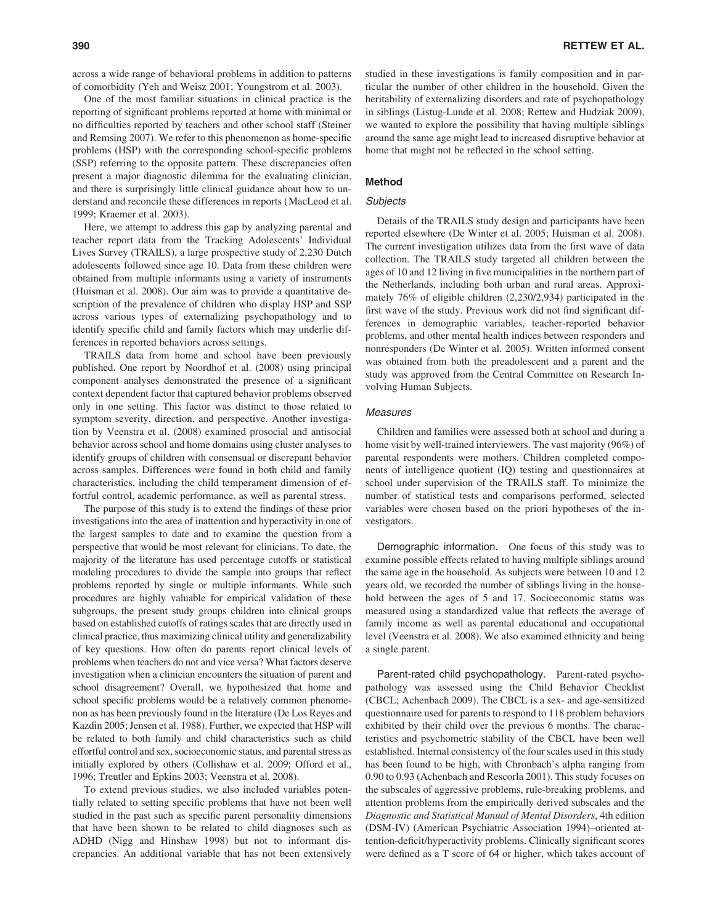across a wide range of behavioral problems in addition to patterns of comorbidity (Yeh and Weisz 2001; Youngstrom et al. 2003).

One of the most familiar situations in clinical practice is the reporting of significant problems reported at home with minimal or no difficulties reported by teachers and other school staff (Steiner and Remsing 2007). We refer to this phenomenon as home-specific problems (HSP) with the corresponding school-specific problems (SSP) referring to the opposite pattern. These discrepancies often present a major diagnostic dilemma for the evaluating clinician, and there is surprisingly little clinical guidance about how to understand and reconcile these differences in reports (MacLeod et al. 1999; Kraemer et al. 2003).

Here, we attempt to address this gap by analyzing parental and teacher report data from the Tracking Adolescents' Individual Lives Survey (TRAILS), a large prospective study of 2,230 Dutch adolescents followed since age 10. Data from these children were obtained from multiple informants using a variety of instruments (Huisman et al. 2008). Our aim was to provide a quantitative description of the prevalence of children who display HSP and SSP across various types of externalizing psychopathology and to identify specific child and family factors which may underlie differences in reported behaviors across settings.

TRAILS data from home and school have been previously published. One report by Noordhof et al. (2008) using principal component analyses demonstrated the presence of a significant context dependent factor that captured behavior problems observed only in one setting. This factor was distinct to those related to symptom severity, direction, and perspective. Another investigation by Veenstra et al. (2008) examined prosocial and antisocial behavior across school and home domains using cluster analyses to identify groups of children with consensual or discrepant behavior across samples. Differences were found in both child and family characteristics, including the child temperament dimension of effortful control, academic performance, as well as parental stress.

The purpose of this study is to extend the findings of these prior investigations into the area of inattention and hyperactivity in one of the largest samples to date and to examine the question from a perspective that would be most relevant for clinicians. To date, the majority of the literature has used percentage cutoffs or statistical modeling procedures to divide the sample into groups that reflect problems reported by single or multiple informants. While such procedures are highly valuable for empirical validation of these subgroups, the present study groups children into clinical groups based on established cutoffs of ratings scales that are directly used in clinical practice, thus maximizing clinical utility and generalizability of key questions. How often do parents report clinical levels of problems when teachers do not and vice versa? What factors deserve investigation when a clinician encounters the situation of parent and school disagreement? Overall, we hypothesized that home and school specific problems would be a relatively common phenomenon as has been previously found in the literature (De Los Reyes and Kazdin 2005; Jensen et al. 1988). Further, we expected that HSP will be related to both family and child characteristics such as child effortful control and sex, socioeconomic status, and parental stress as initially explored by others (Collishaw et al. 2009; Offord et al., 1996; Treutler and Epkins 2003; Veenstra et al. 2008).

To extend previous studies, we also included variables potentially related to setting specific problems that have not been well studied in the past such as specific parent personality dimensions that have been shown to be related to child diagnoses such as ADHD (Nigg and Hinshaw 1998) but not to informant discrepancies. An additional variable that has not been extensively

studied in these investigations is family composition and in particular the number of other children in the household. Given the heritability of externalizing disorders and rate of psychopathology in siblings (Listug-Lunde et al. 2008; Rettew and Hudziak 2009), we wanted to explore the possibility that having multiple siblings around the same age might lead to increased disruptive behavior at home that might not be reflected in the school setting.

## Method

#### **Subjects**

Details of the TRAILS study design and participants have been reported elsewhere (De Winter et al. 2005; Huisman et al. 2008). The current investigation utilizes data from the first wave of data collection. The TRAILS study targeted all children between the ages of 10 and 12 living in five municipalities in the northern part of the Netherlands, including both urban and rural areas. Approximately 76% of eligible children (2,230/2,934) participated in the first wave of the study. Previous work did not find significant differences in demographic variables, teacher-reported behavior problems, and other mental health indices between responders and nonresponders (De Winter et al. 2005). Written informed consent was obtained from both the preadolescent and a parent and the study was approved from the Central Committee on Research Involving Human Subjects.

#### **Measures**

Children and families were assessed both at school and during a home visit by well-trained interviewers. The vast majority (96%) of parental respondents were mothers. Children completed components of intelligence quotient (IQ) testing and questionnaires at school under supervision of the TRAILS staff. To minimize the number of statistical tests and comparisons performed, selected variables were chosen based on the priori hypotheses of the investigators.

Demographic information. One focus of this study was to examine possible effects related to having multiple siblings around the same age in the household. As subjects were between 10 and 12 years old, we recorded the number of siblings living in the household between the ages of 5 and 17. Socioeconomic status was measured using a standardized value that reflects the average of family income as well as parental educational and occupational level (Veenstra et al. 2008). We also examined ethnicity and being a single parent.

Parent-rated child psychopathology. Parent-rated psychopathology was assessed using the Child Behavior Checklist (CBCL; Achenbach 2009). The CBCL is a sex- and age-sensitized questionnaire used for parents to respond to 118 problem behaviors exhibited by their child over the previous 6 months. The characteristics and psychometric stability of the CBCL have been well established. Internal consistency of the four scales used in this study has been found to be high, with Chronbach's alpha ranging from 0.90 to 0.93 (Achenbach and Rescorla 2001). This study focuses on the subscales of aggressive problems, rule-breaking problems, and attention problems from the empirically derived subscales and the Diagnostic and Statistical Manual of Mental Disorders, 4th edition (DSM-IV) (American Psychiatric Association 1994)–oriented attention-deficit/hyperactivity problems. Clinically significant scores were defined as a T score of 64 or higher, which takes account of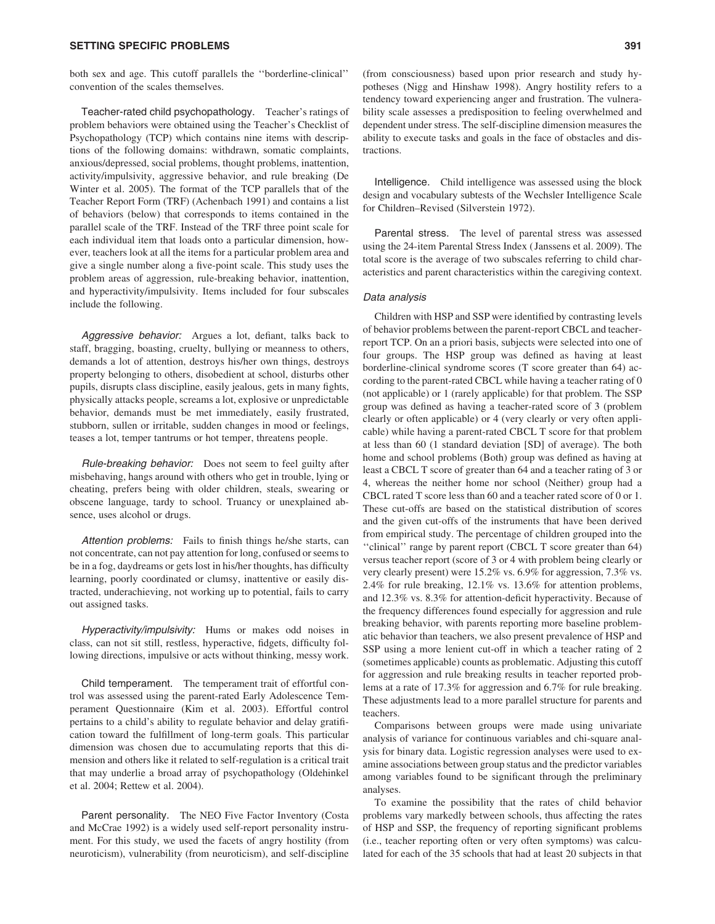## SETTING SPECIFIC PROBLEMS 391

both sex and age. This cutoff parallels the ''borderline-clinical'' convention of the scales themselves.

Teacher-rated child psychopathology. Teacher's ratings of problem behaviors were obtained using the Teacher's Checklist of Psychopathology (TCP) which contains nine items with descriptions of the following domains: withdrawn, somatic complaints, anxious/depressed, social problems, thought problems, inattention, activity/impulsivity, aggressive behavior, and rule breaking (De Winter et al. 2005). The format of the TCP parallels that of the Teacher Report Form (TRF) (Achenbach 1991) and contains a list of behaviors (below) that corresponds to items contained in the parallel scale of the TRF. Instead of the TRF three point scale for each individual item that loads onto a particular dimension, however, teachers look at all the items for a particular problem area and give a single number along a five-point scale. This study uses the problem areas of aggression, rule-breaking behavior, inattention, and hyperactivity/impulsivity. Items included for four subscales include the following.

Aggressive behavior: Argues a lot, defiant, talks back to staff, bragging, boasting, cruelty, bullying or meanness to others, demands a lot of attention, destroys his/her own things, destroys property belonging to others, disobedient at school, disturbs other pupils, disrupts class discipline, easily jealous, gets in many fights, physically attacks people, screams a lot, explosive or unpredictable behavior, demands must be met immediately, easily frustrated, stubborn, sullen or irritable, sudden changes in mood or feelings, teases a lot, temper tantrums or hot temper, threatens people.

Rule-breaking behavior: Does not seem to feel guilty after misbehaving, hangs around with others who get in trouble, lying or cheating, prefers being with older children, steals, swearing or obscene language, tardy to school. Truancy or unexplained absence, uses alcohol or drugs.

Attention problems: Fails to finish things he/she starts, can not concentrate, can not pay attention for long, confused or seems to be in a fog, daydreams or gets lost in his/her thoughts, has difficulty learning, poorly coordinated or clumsy, inattentive or easily distracted, underachieving, not working up to potential, fails to carry out assigned tasks.

Hyperactivity/impulsivity: Hums or makes odd noises in class, can not sit still, restless, hyperactive, fidgets, difficulty following directions, impulsive or acts without thinking, messy work.

Child temperament. The temperament trait of effortful control was assessed using the parent-rated Early Adolescence Temperament Questionnaire (Kim et al. 2003). Effortful control pertains to a child's ability to regulate behavior and delay gratification toward the fulfillment of long-term goals. This particular dimension was chosen due to accumulating reports that this dimension and others like it related to self-regulation is a critical trait that may underlie a broad array of psychopathology (Oldehinkel et al. 2004; Rettew et al. 2004).

Parent personality. The NEO Five Factor Inventory (Costa and McCrae 1992) is a widely used self-report personality instrument. For this study, we used the facets of angry hostility (from neuroticism), vulnerability (from neuroticism), and self-discipline

(from consciousness) based upon prior research and study hypotheses (Nigg and Hinshaw 1998). Angry hostility refers to a tendency toward experiencing anger and frustration. The vulnerability scale assesses a predisposition to feeling overwhelmed and dependent under stress. The self-discipline dimension measures the ability to execute tasks and goals in the face of obstacles and distractions.

Intelligence. Child intelligence was assessed using the block design and vocabulary subtests of the Wechsler Intelligence Scale for Children–Revised (Silverstein 1972).

Parental stress. The level of parental stress was assessed using the 24-item Parental Stress Index ( Janssens et al. 2009). The total score is the average of two subscales referring to child characteristics and parent characteristics within the caregiving context.

#### Data analysis

Children with HSP and SSP were identified by contrasting levels of behavior problems between the parent-report CBCL and teacherreport TCP. On an a priori basis, subjects were selected into one of four groups. The HSP group was defined as having at least borderline-clinical syndrome scores (T score greater than 64) according to the parent-rated CBCL while having a teacher rating of 0 (not applicable) or 1 (rarely applicable) for that problem. The SSP group was defined as having a teacher-rated score of 3 (problem clearly or often applicable) or 4 (very clearly or very often applicable) while having a parent-rated CBCL T score for that problem at less than 60 (1 standard deviation [SD] of average). The both home and school problems (Both) group was defined as having at least a CBCL T score of greater than 64 and a teacher rating of 3 or 4, whereas the neither home nor school (Neither) group had a CBCL rated T score less than 60 and a teacher rated score of 0 or 1. These cut-offs are based on the statistical distribution of scores and the given cut-offs of the instruments that have been derived from empirical study. The percentage of children grouped into the ''clinical'' range by parent report (CBCL T score greater than 64) versus teacher report (score of 3 or 4 with problem being clearly or very clearly present) were 15.2% vs. 6.9% for aggression, 7.3% vs. 2.4% for rule breaking, 12.1% vs. 13.6% for attention problems, and 12.3% vs. 8.3% for attention-deficit hyperactivity. Because of the frequency differences found especially for aggression and rule breaking behavior, with parents reporting more baseline problematic behavior than teachers, we also present prevalence of HSP and SSP using a more lenient cut-off in which a teacher rating of 2 (sometimes applicable) counts as problematic. Adjusting this cutoff for aggression and rule breaking results in teacher reported problems at a rate of 17.3% for aggression and 6.7% for rule breaking. These adjustments lead to a more parallel structure for parents and teachers.

Comparisons between groups were made using univariate analysis of variance for continuous variables and chi-square analysis for binary data. Logistic regression analyses were used to examine associations between group status and the predictor variables among variables found to be significant through the preliminary analyses.

To examine the possibility that the rates of child behavior problems vary markedly between schools, thus affecting the rates of HSP and SSP, the frequency of reporting significant problems (i.e., teacher reporting often or very often symptoms) was calculated for each of the 35 schools that had at least 20 subjects in that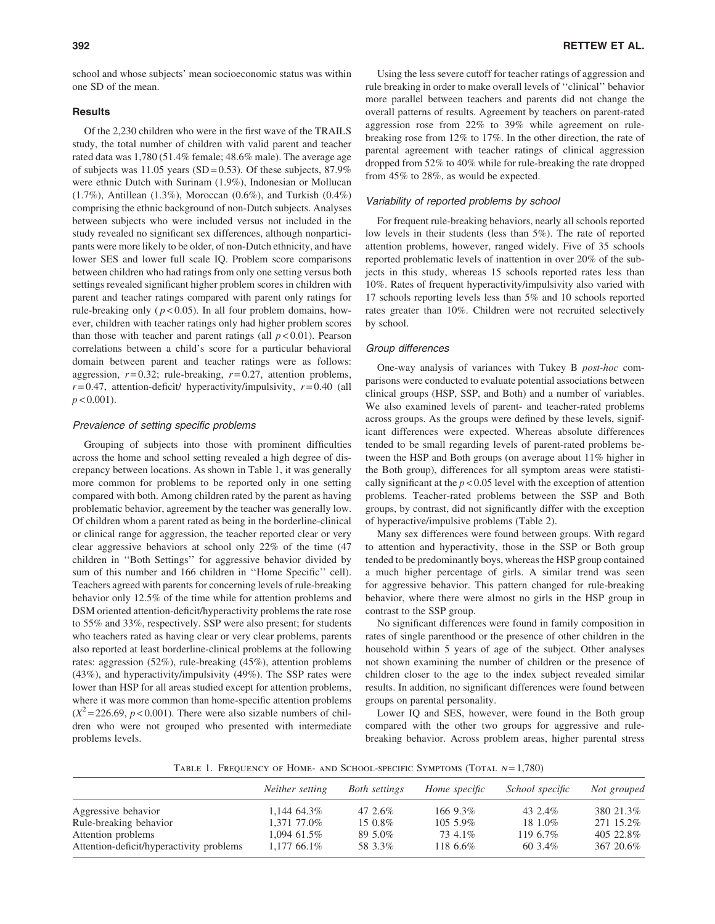school and whose subjects' mean socioeconomic status was within one SD of the mean.

## **Results**

Of the 2,230 children who were in the first wave of the TRAILS study, the total number of children with valid parent and teacher rated data was 1,780 (51.4% female; 48.6% male). The average age of subjects was 11.05 years (SD = 0.53). Of these subjects,  $87.9\%$ were ethnic Dutch with Surinam (1.9%), Indonesian or Mollucan (1.7%), Antillean (1.3%), Moroccan (0.6%), and Turkish (0.4%) comprising the ethnic background of non-Dutch subjects. Analyses between subjects who were included versus not included in the study revealed no significant sex differences, although nonparticipants were more likely to be older, of non-Dutch ethnicity, and have lower SES and lower full scale IQ. Problem score comparisons between children who had ratings from only one setting versus both settings revealed significant higher problem scores in children with parent and teacher ratings compared with parent only ratings for rule-breaking only ( $p < 0.05$ ). In all four problem domains, however, children with teacher ratings only had higher problem scores than those with teacher and parent ratings (all  $p < 0.01$ ). Pearson correlations between a child's score for a particular behavioral domain between parent and teacher ratings were as follows: aggression,  $r = 0.32$ ; rule-breaking,  $r = 0.27$ , attention problems,  $r = 0.47$ , attention-deficit/ hyperactivity/impulsivity,  $r = 0.40$  (all  $p < 0.001$ ).

## Prevalence of setting specific problems

Grouping of subjects into those with prominent difficulties across the home and school setting revealed a high degree of discrepancy between locations. As shown in Table 1, it was generally more common for problems to be reported only in one setting compared with both. Among children rated by the parent as having problematic behavior, agreement by the teacher was generally low. Of children whom a parent rated as being in the borderline-clinical or clinical range for aggression, the teacher reported clear or very clear aggressive behaviors at school only 22% of the time (47 children in ''Both Settings'' for aggressive behavior divided by sum of this number and 166 children in ''Home Specific'' cell). Teachers agreed with parents for concerning levels of rule-breaking behavior only 12.5% of the time while for attention problems and DSM oriented attention-deficit/hyperactivity problems the rate rose to 55% and 33%, respectively. SSP were also present; for students who teachers rated as having clear or very clear problems, parents also reported at least borderline-clinical problems at the following rates: aggression (52%), rule-breaking (45%), attention problems (43%), and hyperactivity/impulsivity (49%). The SSP rates were lower than HSP for all areas studied except for attention problems, where it was more common than home-specific attention problems  $(X^2 = 226.69, p < 0.001)$ . There were also sizable numbers of children who were not grouped who presented with intermediate problems levels.

Using the less severe cutoff for teacher ratings of aggression and rule breaking in order to make overall levels of ''clinical'' behavior more parallel between teachers and parents did not change the overall patterns of results. Agreement by teachers on parent-rated aggression rose from 22% to 39% while agreement on rulebreaking rose from 12% to 17%. In the other direction, the rate of parental agreement with teacher ratings of clinical aggression dropped from 52% to 40% while for rule-breaking the rate dropped from 45% to 28%, as would be expected.

#### Variability of reported problems by school

For frequent rule-breaking behaviors, nearly all schools reported low levels in their students (less than 5%). The rate of reported attention problems, however, ranged widely. Five of 35 schools reported problematic levels of inattention in over 20% of the subjects in this study, whereas 15 schools reported rates less than 10%. Rates of frequent hyperactivity/impulsivity also varied with 17 schools reporting levels less than 5% and 10 schools reported rates greater than 10%. Children were not recruited selectively by school.

#### Group differences

One-way analysis of variances with Tukey B post-hoc comparisons were conducted to evaluate potential associations between clinical groups (HSP, SSP, and Both) and a number of variables. We also examined levels of parent- and teacher-rated problems across groups. As the groups were defined by these levels, significant differences were expected. Whereas absolute differences tended to be small regarding levels of parent-rated problems between the HSP and Both groups (on average about 11% higher in the Both group), differences for all symptom areas were statistically significant at the  $p < 0.05$  level with the exception of attention problems. Teacher-rated problems between the SSP and Both groups, by contrast, did not significantly differ with the exception of hyperactive/impulsive problems (Table 2).

Many sex differences were found between groups. With regard to attention and hyperactivity, those in the SSP or Both group tended to be predominantly boys, whereas the HSP group contained a much higher percentage of girls. A similar trend was seen for aggressive behavior. This pattern changed for rule-breaking behavior, where there were almost no girls in the HSP group in contrast to the SSP group.

No significant differences were found in family composition in rates of single parenthood or the presence of other children in the household within 5 years of age of the subject. Other analyses not shown examining the number of children or the presence of children closer to the age to the index subject revealed similar results. In addition, no significant differences were found between groups on parental personality.

Lower IQ and SES, however, were found in the Both group compared with the other two groups for aggressive and rulebreaking behavior. Across problem areas, higher parental stress

TABLE 1. FREQUENCY OF HOME- AND SCHOOL-SPECIFIC SYMPTOMS (TOTAL  $N=1,780$ )

|                                          | Neither setting | <b>Both settings</b> | Home specific | School specific | Not grouped |
|------------------------------------------|-----------------|----------------------|---------------|-----------------|-------------|
| Aggressive behavior                      | 1.144 64.3%     | $472.6\%$            | $1669.3\%$    | 43 2.4%         | 380 21.3%   |
| Rule-breaking behavior                   | 1,371 77.0%     | 15 0.8%              | $105, 5.9\%$  | 18 1.0%         | 271 15.2%   |
| Attention problems                       | 1.094 61.5%     | 89 5.0%              | 73 4.1%       | 119 6.7%        | 405 22.8%   |
| Attention-deficit/hyperactivity problems | 1,177 66.1%     | 58 3.3%              | 118 6.6%      | 60 3.4%         | 367 20.6%   |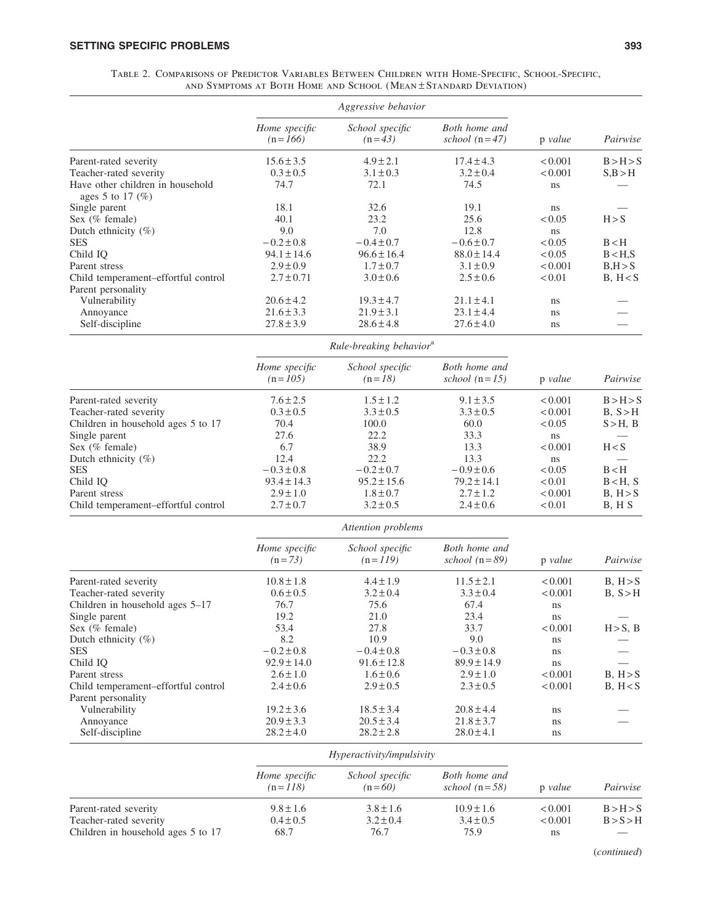Table 2. Comparisons of Predictor Variables Between Children with Home-Specific, School-Specific, and Symptoms at Both Home and School (Mean – Standard Deviation)

|                                                              |                                   | Aggressive behavior                 |                                   |                    |                       |
|--------------------------------------------------------------|-----------------------------------|-------------------------------------|-----------------------------------|--------------------|-----------------------|
|                                                              | Home specific<br>$(n=166)$        | School specific<br>$(n=43)$         | Both home and<br>school $(n=47)$  | p value            | Pairwise              |
| Parent-rated severity<br>Teacher-rated severity              | $15.6 \pm 3.5$<br>$0.3 \pm 0.5$   | $4.9 \pm 2.1$<br>$3.1 \pm 0.3$      | $17.4 \pm 4.3$<br>$3.2 \pm 0.4$   | < 0.001<br>< 0.001 | B > H > S<br>S, B > H |
| Have other children in household<br>ages 5 to 17 (%)         | 74.7                              | 72.1                                | 74.5                              | ns                 |                       |
| Single parent                                                | 18.1                              | 32.6                                | 19.1                              | ns                 |                       |
| Sex (% female)                                               | 40.1                              | 23.2                                | 25.6                              | < 0.05             | H > S                 |
| Dutch ethnicity (%)                                          | 9.0                               | 7.0                                 | 12.8                              | ns                 |                       |
| <b>SES</b><br>Child IQ                                       | $-0.2 \pm 0.8$<br>$94.1 \pm 14.6$ | $-0.4 \pm 0.7$<br>$96.6 \pm 16.4$   | $-0.6 \pm 0.7$<br>$88.0 \pm 14.4$ | < 0.05<br>< 0.05   | B < H<br>B < H, S     |
| Parent stress                                                | $2.9 \pm 0.9$                     | $1.7 \pm 0.7$                       | $3.1 \pm 0.9$                     | < 0.001            | B,H>S                 |
| Child temperament-effortful control<br>Parent personality    | $2.7 \pm 0.71$                    | $3.0 \pm 0.6$                       | $2.5 \pm 0.6$                     | < 0.01             | B, H < S              |
| Vulnerability                                                | $20.6 \pm 4.2$                    | $19.3 \pm 4.7$                      | $21.1 \pm 4.1$                    | ns                 |                       |
| Annoyance                                                    | $21.6 \pm 3.3$                    | $21.9 \pm 3.1$                      | $23.1 \pm 4.4$                    | ns                 |                       |
| Self-discipline                                              | $27.8 \pm 3.9$                    | $28.6 \pm 4.8$                      | $27.6 \pm 4.0$                    | ns                 |                       |
|                                                              |                                   | Rule-breaking behavior <sup>a</sup> |                                   |                    |                       |
|                                                              | Home specific<br>$(n = 105)$      | School specific<br>$(n=18)$         | Both home and<br>school $(n=15)$  | p value            | Pairwise              |
| Parent-rated severity                                        | $7.6 \pm 2.5$                     | $1.5 \pm 1.2$                       | $9.1 \pm 3.5$                     | < 0.001            | B > H > S             |
| Teacher-rated severity                                       | $0.3 \pm 0.5$                     | $3.3 \pm 0.5$                       | $3.3 \pm 0.5$                     | < 0.001            | B, S > H              |
| Children in household ages 5 to 17                           | 70.4                              | 100.0                               | 60.0                              | < 0.05             | $S > H$ , $B$         |
| Single parent                                                | 27.6                              | 22.2                                | 33.3                              | ns                 |                       |
| Sex (% female)                                               | 6.7                               | 38.9                                | 13.3                              | < 0.001            | H < S                 |
| Dutch ethnicity $(\%)$                                       | 12.4                              | 22.2                                | 13.3                              | ns                 |                       |
| <b>SES</b>                                                   | $-0.3 \pm 0.8$                    | $-0.2 \pm 0.7$                      | $-0.9 \pm 0.6$                    | < 0.05             | B < H                 |
| Child IQ                                                     | $93.4 \pm 14.3$                   | $95.2 \pm 15.6$                     | $79.2 \pm 14.1$                   | < 0.01             | $B < H$ , S           |
| Parent stress<br>Child temperament-effortful control         | $2.9 \pm 1.0$<br>$2.7 \pm 0.7$    | $1.8 \pm 0.7$<br>$3.2 \pm 0.5$      | $2.7 \pm 1.2$<br>$2.4 \pm 0.6$    | < 0.001<br>< 0.01  | B, H > S<br>B, H S    |
|                                                              |                                   |                                     |                                   |                    |                       |
|                                                              | Home specific                     |                                     |                                   |                    |                       |
|                                                              | $(n=73)$                          | School specific<br>$(n=119)$        | school $(n=89)$                   | p value            | Pairwise              |
| Parent-rated severity                                        | $10.8 \pm 1.8$                    | $4.4 \pm 1.9$                       | $11.5 \pm 2.1$                    | < 0.001            | B, H > S              |
| Teacher-rated severity                                       | $0.6 \pm 0.5$                     | $3.2 \pm 0.4$                       | $3.3 \pm 0.4$                     | < 0.001            | B, S > H              |
| Children in household ages $5-17$                            | 76.7                              | 75.6                                | 67.4                              | ns                 |                       |
| Single parent                                                | 19.2                              | 21.0                                | 23.4                              | ns                 |                       |
| Sex (% female)                                               | 53.4<br>8.2                       | 27.8<br>10.9                        | 33.7<br>9.0                       | < 0.001            | H>S, B                |
| Dutch ethnicity $(\%)$<br><b>SES</b>                         | $-0.2 \pm 0.8$                    | $-0.4 \pm 0.8$                      | $-0.3 \pm 0.8$                    | ns<br>ns           |                       |
| Child IQ                                                     | $92.9 \pm 14.0$                   | $91.6 \pm 12.8$                     | $89.9 \pm 14.9$                   | ns                 |                       |
| Parent stress                                                | $2.6 \pm 1.0$                     | $1.6 \pm 0.6$                       | $2.9 \pm 1.0$                     | < 0.001            | B, H > S              |
| Child temperament-effortful control<br>Parent personality    | $2.4 \pm 0.6$                     | $2.9 \pm 0.5$                       | $2.3 \pm 0.5$                     | < 0.001            | B, H < S              |
| Vulnerability                                                | $19.2 \pm 3.6$                    | $18.5 \pm 3.4$                      | $20.8 \pm 4.4$                    | ns                 |                       |
| Annoyance                                                    | $20.9 \pm 3.3$                    | $20.5 \pm 3.4$                      | $21.8 \pm 3.7$                    | ns                 |                       |
| Self-discipline                                              | $28.2 \pm 4.0$                    | $28.2 \pm 2.8$                      | $28.0 \pm 4.1$                    | ns                 |                       |
|                                                              |                                   | Hyperactivity/impulsivity           |                                   |                    |                       |
|                                                              | Home specific<br>$(n = 118)$      | School specific<br>$(n=60)$         | Both home and<br>school $(n=58)$  | p value            | Pairwise              |
| Parent-rated severity                                        | $9.8 \pm 1.6$                     | $3.8 \pm 1.6$                       | $10.9 \pm 1.6$                    | < 0.001            | B > H > S             |
| Teacher-rated severity<br>Children in household ages 5 to 17 | $0.4 \pm 0.5$<br>68.7             | $3.2 \pm 0.4$<br>76.7               | $3.4 \pm 0.5$<br>75.9             | < 0.001            | B > S > H             |
|                                                              |                                   |                                     |                                   | ns                 |                       |

Children in household ages 5 to 17 68.7 76.7 75.9 ns —

(continued)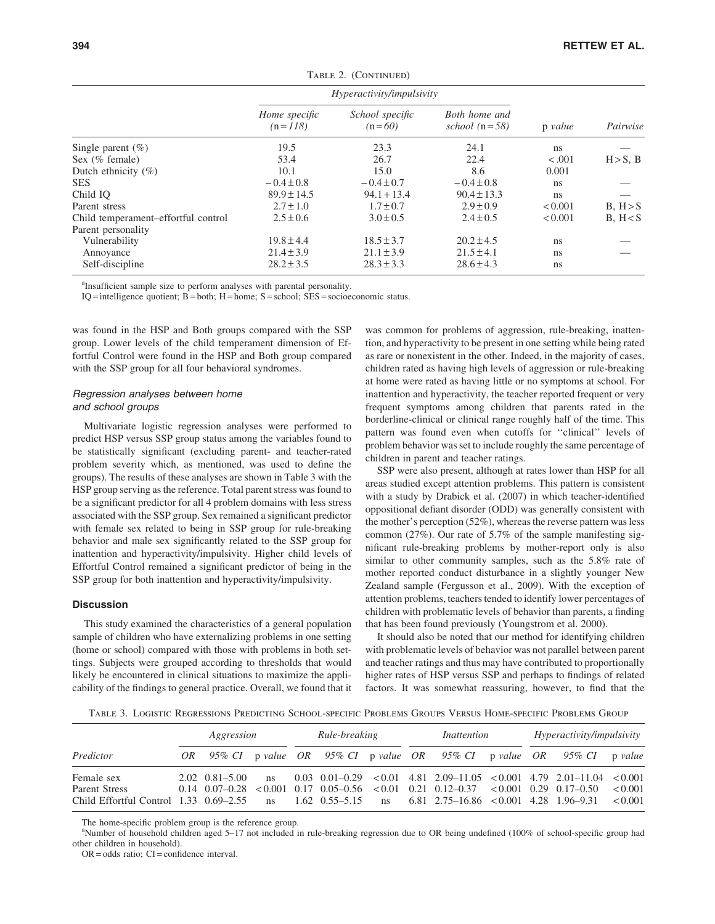|                                     | <i>Hyperactivity/impulsivity</i> |                             |                                  |               |               |
|-------------------------------------|----------------------------------|-----------------------------|----------------------------------|---------------|---------------|
|                                     | Home specific<br>$(n=118)$       | School specific<br>$(n=60)$ | Both home and<br>school $(n=58)$ | p value       | Pairwise      |
| Single parent $(\%)$                | 19.5                             | 23.3                        | 24.1                             | ns            |               |
| Sex $(\%$ female)                   | 53.4                             | 26.7                        | 22.4                             | $-.001$       | $H > S$ , $B$ |
| Dutch ethnicity $(\% )$             | 10.1                             | 15.0                        | 8.6                              | 0.001         |               |
| <b>SES</b>                          | $-0.4 \pm 0.8$                   | $-0.4 \pm 0.7$              | $-0.4 \pm 0.8$                   | <sub>ns</sub> |               |
| Child IO                            | $89.9 \pm 14.5$                  | $94.1 + 13.4$               | $90.4 \pm 13.3$                  | <sub>ns</sub> |               |
| Parent stress                       | $2.7 \pm 1.0$                    | $1.7 \pm 0.7$               | $2.9 \pm 0.9$                    | < 0.001       | B, H > S      |
| Child temperament-effortful control | $2.5 \pm 0.6$                    | $3.0 \pm 0.5$               | $2.4 \pm 0.5$                    | < 0.001       | B, H < S      |
| Parent personality                  |                                  |                             |                                  |               |               |
| Vulnerability                       | $19.8 \pm 4.4$                   | $18.5 \pm 3.7$              | $20.2 \pm 4.5$                   | <sub>ns</sub> |               |
| Annoyance                           | $21.4 \pm 3.9$                   | $21.1 \pm 3.9$              | $21.5 \pm 4.1$                   | <sub>ns</sub> |               |
| Self-discipline                     | $28.2 \pm 3.5$                   | $28.3 \pm 3.3$              | $28.6 \pm 4.3$                   | ns            |               |

TABLE 2. (CONTINUED)

<sup>a</sup>Insufficient sample size to perform analyses with parental personality.

IQ = intelligence quotient; B= both; H = home; S = school; SES = socioeconomic status.

was found in the HSP and Both groups compared with the SSP group. Lower levels of the child temperament dimension of Effortful Control were found in the HSP and Both group compared with the SSP group for all four behavioral syndromes.

## Regression analyses between home and school groups

Multivariate logistic regression analyses were performed to predict HSP versus SSP group status among the variables found to be statistically significant (excluding parent- and teacher-rated problem severity which, as mentioned, was used to define the groups). The results of these analyses are shown in Table 3 with the HSP group serving as the reference. Total parent stress was found to be a significant predictor for all 4 problem domains with less stress associated with the SSP group. Sex remained a significant predictor with female sex related to being in SSP group for rule-breaking behavior and male sex significantly related to the SSP group for inattention and hyperactivity/impulsivity. Higher child levels of Effortful Control remained a significant predictor of being in the SSP group for both inattention and hyperactivity/impulsivity.

## **Discussion**

This study examined the characteristics of a general population sample of children who have externalizing problems in one setting (home or school) compared with those with problems in both settings. Subjects were grouped according to thresholds that would likely be encountered in clinical situations to maximize the applicability of the findings to general practice. Overall, we found that it was common for problems of aggression, rule-breaking, inattention, and hyperactivity to be present in one setting while being rated as rare or nonexistent in the other. Indeed, in the majority of cases, children rated as having high levels of aggression or rule-breaking at home were rated as having little or no symptoms at school. For inattention and hyperactivity, the teacher reported frequent or very frequent symptoms among children that parents rated in the borderline-clinical or clinical range roughly half of the time. This pattern was found even when cutoffs for ''clinical'' levels of problem behavior was set to include roughly the same percentage of children in parent and teacher ratings.

SSP were also present, although at rates lower than HSP for all areas studied except attention problems. This pattern is consistent with a study by Drabick et al. (2007) in which teacher-identified oppositional defiant disorder (ODD) was generally consistent with the mother's perception (52%), whereas the reverse pattern was less common (27%). Our rate of 5.7% of the sample manifesting significant rule-breaking problems by mother-report only is also similar to other community samples, such as the 5.8% rate of mother reported conduct disturbance in a slightly younger New Zealand sample (Fergusson et al., 2009). With the exception of attention problems, teachers tended to identify lower percentages of children with problematic levels of behavior than parents, a finding that has been found previously (Youngstrom et al. 2000).

It should also be noted that our method for identifying children with problematic levels of behavior was not parallel between parent and teacher ratings and thus may have contributed to proportionally higher rates of HSP versus SSP and perhaps to findings of related factors. It was somewhat reassuring, however, to find that the

Table 3. Logistic Regressions Predicting School-specific Problems Groups Versus Home-specific Problems Group

|                                                                                                    | Aggression |                          | Rule-breaking |  | Inattention |  |  | Hyperactivity/impulsivity                                                                          |  |  |  |         |
|----------------------------------------------------------------------------------------------------|------------|--------------------------|---------------|--|-------------|--|--|----------------------------------------------------------------------------------------------------|--|--|--|---------|
| Predictor                                                                                          |            |                          |               |  |             |  |  | OR 95% CI p value OR 95% CI p value OR 95% CI p value OR 95% CI p value                            |  |  |  |         |
| Female sex                                                                                         |            | $2.02 \quad 0.81 - 5.00$ | ns            |  |             |  |  | $0.03$ $0.01 - 0.29$ $0.01$ $4.81$ $2.09 - 11.05$ $0.001$ $4.79$ $2.01 - 11.04$ $0.001$            |  |  |  |         |
| Parent Stress                                                                                      |            |                          |               |  |             |  |  | $0.14$ $0.07-0.28$ $0.001$ $0.17$ $0.05-0.56$ $0.01$ $0.21$ $0.12-0.37$ $0.001$ $0.29$ $0.17-0.50$ |  |  |  | < 0.001 |
| Child Effortful Control 1.33 0.69–2.55 ns 1.62 0.55–5.15 ns 6.81 2.75–16.86 < 0.001 4.28 1.96–9.31 |            |                          |               |  |             |  |  |                                                                                                    |  |  |  | < 0.001 |

The home-specific problem group is the reference group.

a Number of household children aged 5–17 not included in rule-breaking regression due to OR being undefined (100% of school-specific group had other children in household).

 $OR = odds ratio$ ;  $CI = confidence interval$ .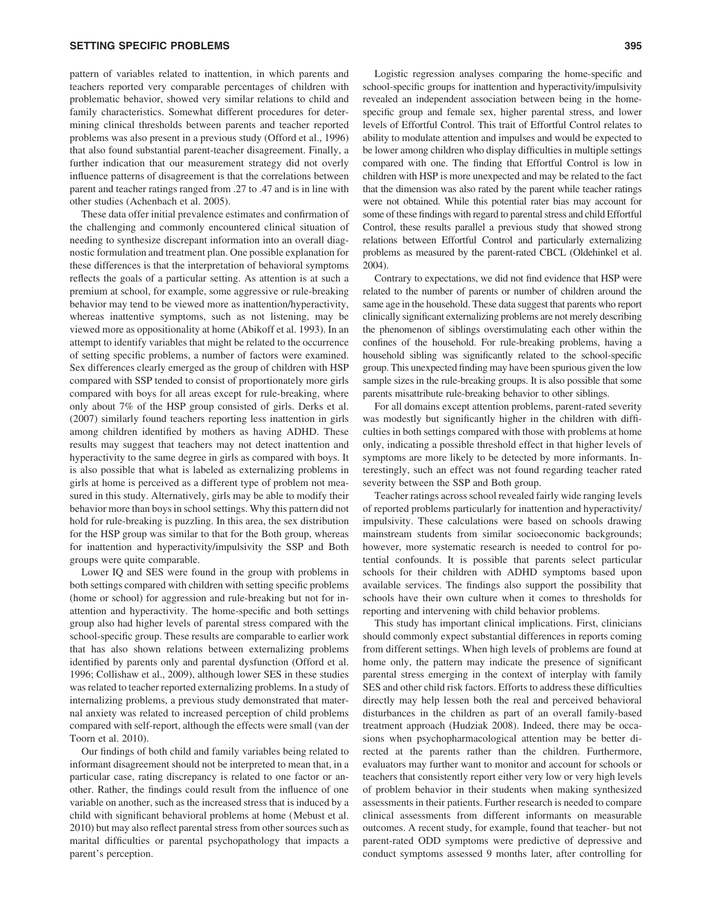pattern of variables related to inattention, in which parents and teachers reported very comparable percentages of children with problematic behavior, showed very similar relations to child and family characteristics. Somewhat different procedures for determining clinical thresholds between parents and teacher reported problems was also present in a previous study (Offord et al., 1996) that also found substantial parent-teacher disagreement. Finally, a further indication that our measurement strategy did not overly influence patterns of disagreement is that the correlations between parent and teacher ratings ranged from .27 to .47 and is in line with other studies (Achenbach et al. 2005).

These data offer initial prevalence estimates and confirmation of the challenging and commonly encountered clinical situation of needing to synthesize discrepant information into an overall diagnostic formulation and treatment plan. One possible explanation for these differences is that the interpretation of behavioral symptoms reflects the goals of a particular setting. As attention is at such a premium at school, for example, some aggressive or rule-breaking behavior may tend to be viewed more as inattention/hyperactivity, whereas inattentive symptoms, such as not listening, may be viewed more as oppositionality at home (Abikoff et al. 1993). In an attempt to identify variables that might be related to the occurrence of setting specific problems, a number of factors were examined. Sex differences clearly emerged as the group of children with HSP compared with SSP tended to consist of proportionately more girls compared with boys for all areas except for rule-breaking, where only about 7% of the HSP group consisted of girls. Derks et al. (2007) similarly found teachers reporting less inattention in girls among children identified by mothers as having ADHD. These results may suggest that teachers may not detect inattention and hyperactivity to the same degree in girls as compared with boys. It is also possible that what is labeled as externalizing problems in girls at home is perceived as a different type of problem not measured in this study. Alternatively, girls may be able to modify their behavior more than boys in school settings. Why this pattern did not hold for rule-breaking is puzzling. In this area, the sex distribution for the HSP group was similar to that for the Both group, whereas for inattention and hyperactivity/impulsivity the SSP and Both groups were quite comparable.

Lower IQ and SES were found in the group with problems in both settings compared with children with setting specific problems (home or school) for aggression and rule-breaking but not for inattention and hyperactivity. The home-specific and both settings group also had higher levels of parental stress compared with the school-specific group. These results are comparable to earlier work that has also shown relations between externalizing problems identified by parents only and parental dysfunction (Offord et al. 1996; Collishaw et al., 2009), although lower SES in these studies was related to teacher reported externalizing problems. In a study of internalizing problems, a previous study demonstrated that maternal anxiety was related to increased perception of child problems compared with self-report, although the effects were small (van der Toorn et al. 2010).

Our findings of both child and family variables being related to informant disagreement should not be interpreted to mean that, in a particular case, rating discrepancy is related to one factor or another. Rather, the findings could result from the influence of one variable on another, such as the increased stress that is induced by a child with significant behavioral problems at home (Mebust et al. 2010) but may also reflect parental stress from other sources such as marital difficulties or parental psychopathology that impacts a parent's perception.

Logistic regression analyses comparing the home-specific and school-specific groups for inattention and hyperactivity/impulsivity revealed an independent association between being in the homespecific group and female sex, higher parental stress, and lower levels of Effortful Control. This trait of Effortful Control relates to ability to modulate attention and impulses and would be expected to be lower among children who display difficulties in multiple settings compared with one. The finding that Effortful Control is low in children with HSP is more unexpected and may be related to the fact that the dimension was also rated by the parent while teacher ratings were not obtained. While this potential rater bias may account for some of these findings with regard to parental stress and child Effortful Control, these results parallel a previous study that showed strong relations between Effortful Control and particularly externalizing

Contrary to expectations, we did not find evidence that HSP were related to the number of parents or number of children around the same age in the household. These data suggest that parents who report clinically significant externalizing problems are not merely describing the phenomenon of siblings overstimulating each other within the confines of the household. For rule-breaking problems, having a household sibling was significantly related to the school-specific group. This unexpected finding may have been spurious given the low sample sizes in the rule-breaking groups. It is also possible that some parents misattribute rule-breaking behavior to other siblings.

problems as measured by the parent-rated CBCL (Oldehinkel et al.

2004).

For all domains except attention problems, parent-rated severity was modestly but significantly higher in the children with difficulties in both settings compared with those with problems at home only, indicating a possible threshold effect in that higher levels of symptoms are more likely to be detected by more informants. Interestingly, such an effect was not found regarding teacher rated severity between the SSP and Both group.

Teacher ratings across school revealed fairly wide ranging levels of reported problems particularly for inattention and hyperactivity/ impulsivity. These calculations were based on schools drawing mainstream students from similar socioeconomic backgrounds; however, more systematic research is needed to control for potential confounds. It is possible that parents select particular schools for their children with ADHD symptoms based upon available services. The findings also support the possibility that schools have their own culture when it comes to thresholds for reporting and intervening with child behavior problems.

This study has important clinical implications. First, clinicians should commonly expect substantial differences in reports coming from different settings. When high levels of problems are found at home only, the pattern may indicate the presence of significant parental stress emerging in the context of interplay with family SES and other child risk factors. Efforts to address these difficulties directly may help lessen both the real and perceived behavioral disturbances in the children as part of an overall family-based treatment approach (Hudziak 2008). Indeed, there may be occasions when psychopharmacological attention may be better directed at the parents rather than the children. Furthermore, evaluators may further want to monitor and account for schools or teachers that consistently report either very low or very high levels of problem behavior in their students when making synthesized assessments in their patients. Further research is needed to compare clinical assessments from different informants on measurable outcomes. A recent study, for example, found that teacher- but not parent-rated ODD symptoms were predictive of depressive and conduct symptoms assessed 9 months later, after controlling for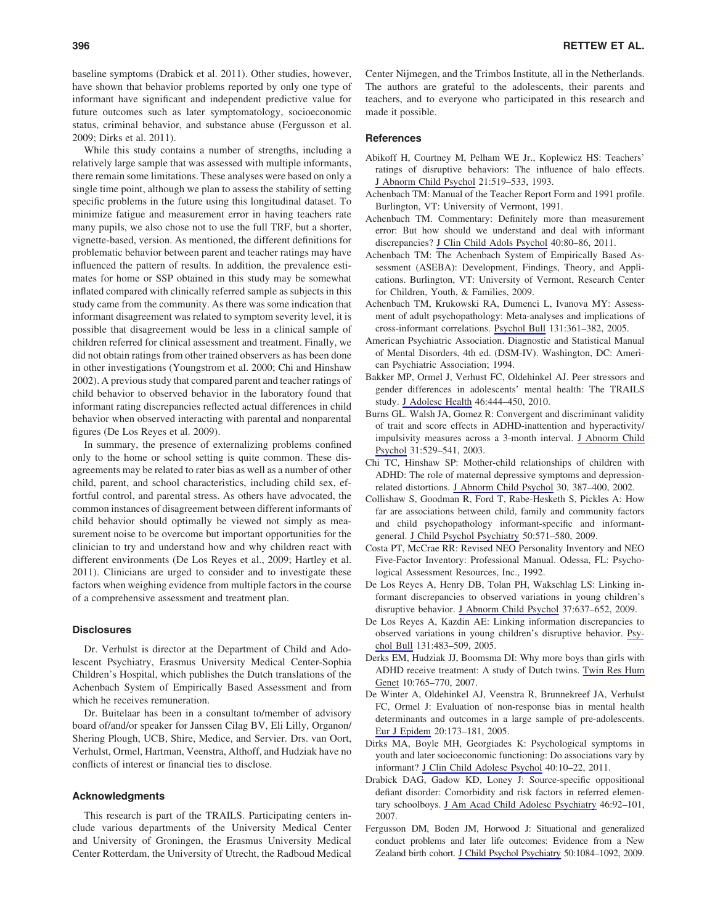baseline symptoms (Drabick et al. 2011). Other studies, however, have shown that behavior problems reported by only one type of informant have significant and independent predictive value for future outcomes such as later symptomatology, socioeconomic status, criminal behavior, and substance abuse (Fergusson et al. 2009; Dirks et al. 2011).

While this study contains a number of strengths, including a relatively large sample that was assessed with multiple informants, there remain some limitations. These analyses were based on only a single time point, although we plan to assess the stability of setting specific problems in the future using this longitudinal dataset. To minimize fatigue and measurement error in having teachers rate many pupils, we also chose not to use the full TRF, but a shorter, vignette-based, version. As mentioned, the different definitions for problematic behavior between parent and teacher ratings may have influenced the pattern of results. In addition, the prevalence estimates for home or SSP obtained in this study may be somewhat inflated compared with clinically referred sample as subjects in this study came from the community. As there was some indication that informant disagreement was related to symptom severity level, it is possible that disagreement would be less in a clinical sample of children referred for clinical assessment and treatment. Finally, we did not obtain ratings from other trained observers as has been done in other investigations (Youngstrom et al. 2000; Chi and Hinshaw 2002). A previous study that compared parent and teacher ratings of child behavior to observed behavior in the laboratory found that informant rating discrepancies reflected actual differences in child behavior when observed interacting with parental and nonparental figures (De Los Reyes et al. 2009).

In summary, the presence of externalizing problems confined only to the home or school setting is quite common. These disagreements may be related to rater bias as well as a number of other child, parent, and school characteristics, including child sex, effortful control, and parental stress. As others have advocated, the common instances of disagreement between different informants of child behavior should optimally be viewed not simply as measurement noise to be overcome but important opportunities for the clinician to try and understand how and why children react with different environments (De Los Reyes et al., 2009; Hartley et al. 2011). Clinicians are urged to consider and to investigate these factors when weighing evidence from multiple factors in the course of a comprehensive assessment and treatment plan.

### **Disclosures**

Dr. Verhulst is director at the Department of Child and Adolescent Psychiatry, Erasmus University Medical Center-Sophia Children's Hospital, which publishes the Dutch translations of the Achenbach System of Empirically Based Assessment and from which he receives remuneration.

Dr. Buitelaar has been in a consultant to/member of advisory board of/and/or speaker for Janssen Cilag BV, Eli Lilly, Organon/ Shering Plough, UCB, Shire, Medice, and Servier. Drs. van Oort, Verhulst, Ormel, Hartman, Veenstra, Althoff, and Hudziak have no conflicts of interest or financial ties to disclose.

#### Acknowledgments

This research is part of the TRAILS. Participating centers include various departments of the University Medical Center and University of Groningen, the Erasmus University Medical Center Rotterdam, the University of Utrecht, the Radboud Medical Center Nijmegen, and the Trimbos Institute, all in the Netherlands. The authors are grateful to the adolescents, their parents and teachers, and to everyone who participated in this research and made it possible.

#### **References**

- Abikoff H, Courtney M, Pelham WE Jr., Koplewicz HS: Teachers' ratings of disruptive behaviors: The influence of halo effects. J Abnorm Child Psychol 21:519–533, 1993.
- Achenbach TM: Manual of the Teacher Report Form and 1991 profile. Burlington, VT: University of Vermont, 1991.
- Achenbach TM. Commentary: Definitely more than measurement error: But how should we understand and deal with informant discrepancies? J Clin Child Adols Psychol 40:80–86, 2011.
- Achenbach TM: The Achenbach System of Empirically Based Assessment (ASEBA): Development, Findings, Theory, and Applications. Burlington, VT: University of Vermont, Research Center for Children, Youth, & Families, 2009.
- Achenbach TM, Krukowski RA, Dumenci L, Ivanova MY: Assessment of adult psychopathology: Meta-analyses and implications of cross-informant correlations. Psychol Bull 131:361–382, 2005.
- American Psychiatric Association. Diagnostic and Statistical Manual of Mental Disorders, 4th ed. (DSM-IV). Washington, DC: American Psychiatric Association; 1994.
- Bakker MP, Ormel J, Verhust FC, Oldehinkel AJ. Peer stressors and gender differences in adolescents' mental health: The TRAILS study. J Adolesc Health 46:444–450, 2010.
- Burns GL. Walsh JA, Gomez R: Convergent and discriminant validity of trait and score effects in ADHD-inattention and hyperactivity/ impulsivity measures across a 3-month interval. J Abnorm Child Psychol 31:529–541, 2003.
- Chi TC, Hinshaw SP: Mother-child relationships of children with ADHD: The role of maternal depressive symptoms and depressionrelated distortions. J Abnorm Child Psychol 30, 387–400, 2002.
- Collishaw S, Goodman R, Ford T, Rabe-Hesketh S, Pickles A: How far are associations between child, family and community factors and child psychopathology informant-specific and informantgeneral. J Child Psychol Psychiatry 50:571–580, 2009.
- Costa PT, McCrae RR: Revised NEO Personality Inventory and NEO Five-Factor Inventory: Professional Manual. Odessa, FL: Psychological Assessment Resources, Inc., 1992.
- De Los Reyes A, Henry DB, Tolan PH, Wakschlag LS: Linking informant discrepancies to observed variations in young children's disruptive behavior. J Abnorm Child Psychol 37:637–652, 2009.
- De Los Reyes A, Kazdin AE: Linking information discrepancies to observed variations in young children's disruptive behavior. Psychol Bull 131:483–509, 2005.
- Derks EM, Hudziak JJ, Boomsma DI: Why more boys than girls with ADHD receive treatment: A study of Dutch twins. Twin Res Hum Genet 10:765–770, 2007.
- De Winter A, Oldehinkel AJ, Veenstra R, Brunnekreef JA, Verhulst FC, Ormel J: Evaluation of non-response bias in mental health determinants and outcomes in a large sample of pre-adolescents. Eur J Epidem 20:173–181, 2005.
- Dirks MA, Boyle MH, Georgiades K: Psychological symptoms in youth and later socioeconomic functioning: Do associations vary by informant? J Clin Child Adolesc Psychol 40:10–22, 2011.
- Drabick DAG, Gadow KD, Loney J: Source-specific oppositional defiant disorder: Comorbidity and risk factors in referred elementary schoolboys. J Am Acad Child Adolesc Psychiatry 46:92–101, 2007.
- Fergusson DM, Boden JM, Horwood J: Situational and generalized conduct problems and later life outcomes: Evidence from a New Zealand birth cohort. J Child Psychol Psychiatry 50:1084–1092, 2009.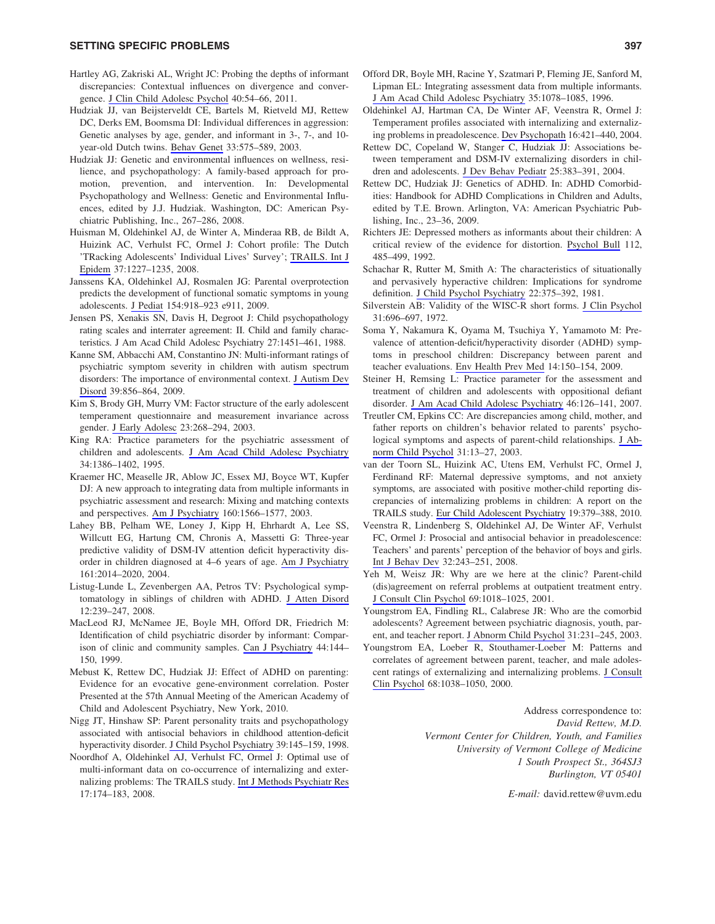- Hartley AG, Zakriski AL, Wright JC: Probing the depths of informant discrepancies: Contextual influences on divergence and convergence. J Clin Child Adolesc Psychol 40:54–66, 2011.
- Hudziak JJ, van Beijsterveldt CE, Bartels M, Rietveld MJ, Rettew DC, Derks EM, Boomsma DI: Individual differences in aggression: Genetic analyses by age, gender, and informant in 3-, 7-, and 10 year-old Dutch twins. Behav Genet 33:575–589, 2003.
- Hudziak JJ: Genetic and environmental influences on wellness, resilience, and psychopathology: A family-based approach for promotion, prevention, and intervention. In: Developmental Psychopathology and Wellness: Genetic and Environmental Influences, edited by J.J. Hudziak. Washington, DC: American Psychiatric Publishing, Inc., 267–286, 2008.
- Huisman M, Oldehinkel AJ, de Winter A, Minderaa RB, de Bildt A, Huizink AC, Verhulst FC, Ormel J: Cohort profile: The Dutch 'TRacking Adolescents' Individual Lives' Survey'; TRAILS. Int J Epidem 37:1227–1235, 2008.
- Janssens KA, Oldehinkel AJ, Rosmalen JG: Parental overprotection predicts the development of functional somatic symptoms in young adolescents. J Pediat 154:918–923 e911, 2009.
- Jensen PS, Xenakis SN, Davis H, Degroot J: Child psychopathology rating scales and interrater agreement: II. Child and family characteristics. J Am Acad Child Adolesc Psychiatry 27:1451–461, 1988.
- Kanne SM, Abbacchi AM, Constantino JN: Multi-informant ratings of psychiatric symptom severity in children with autism spectrum disorders: The importance of environmental context. J Autism Dev Disord 39:856–864, 2009.
- Kim S, Brody GH, Murry VM: Factor structure of the early adolescent temperament questionnaire and measurement invariance across gender. J Early Adolesc 23:268–294, 2003.
- King RA: Practice parameters for the psychiatric assessment of children and adolescents. J Am Acad Child Adolesc Psychiatry 34:1386–1402, 1995.
- Kraemer HC, Measelle JR, Ablow JC, Essex MJ, Boyce WT, Kupfer DJ: A new approach to integrating data from multiple informants in psychiatric assessment and research: Mixing and matching contexts and perspectives. Am J Psychiatry 160:1566–1577, 2003.
- Lahey BB, Pelham WE, Loney J, Kipp H, Ehrhardt A, Lee SS, Willcutt EG, Hartung CM, Chronis A, Massetti G: Three-year predictive validity of DSM-IV attention deficit hyperactivity disorder in children diagnosed at 4–6 years of age. Am J Psychiatry 161:2014–2020, 2004.
- Listug-Lunde L, Zevenbergen AA, Petros TV: Psychological symptomatology in siblings of children with ADHD. J Atten Disord 12:239–247, 2008.
- MacLeod RJ, McNamee JE, Boyle MH, Offord DR, Friedrich M: Identification of child psychiatric disorder by informant: Comparison of clinic and community samples. Can J Psychiatry 44:144– 150, 1999.
- Mebust K, Rettew DC, Hudziak JJ: Effect of ADHD on parenting: Evidence for an evocative gene-environment correlation. Poster Presented at the 57th Annual Meeting of the American Academy of Child and Adolescent Psychiatry, New York, 2010.
- Nigg JT, Hinshaw SP: Parent personality traits and psychopathology associated with antisocial behaviors in childhood attention-deficit hyperactivity disorder. J Child Psychol Psychiatry 39:145–159, 1998.
- Noordhof A, Oldehinkel AJ, Verhulst FC, Ormel J: Optimal use of multi-informant data on co-occurrence of internalizing and externalizing problems: The TRAILS study. Int J Methods Psychiatr Res 17:174–183, 2008.
- Offord DR, Boyle MH, Racine Y, Szatmari P, Fleming JE, Sanford M, Lipman EL: Integrating assessment data from multiple informants. J Am Acad Child Adolesc Psychiatry 35:1078–1085, 1996.
- Oldehinkel AJ, Hartman CA, De Winter AF, Veenstra R, Ormel J: Temperament profiles associated with internalizing and externalizing problems in preadolescence. Dev Psychopath 16:421–440, 2004.
- Rettew DC, Copeland W, Stanger C, Hudziak JJ: Associations between temperament and DSM-IV externalizing disorders in children and adolescents. J Dev Behav Pediatr 25:383–391, 2004.
- Rettew DC, Hudziak JJ: Genetics of ADHD. In: ADHD Comorbidities: Handbook for ADHD Complications in Children and Adults, edited by T.E. Brown. Arlington, VA: American Psychiatric Publishing, Inc., 23–36, 2009.
- Richters JE: Depressed mothers as informants about their children: A critical review of the evidence for distortion. Psychol Bull 112, 485–499, 1992.
- Schachar R, Rutter M, Smith A: The characteristics of situationally and pervasively hyperactive children: Implications for syndrome definition. J Child Psychol Psychiatry 22:375–392, 1981.
- Silverstein AB: Validity of the WISC-R short forms. J Clin Psychol 31:696–697, 1972.
- Soma Y, Nakamura K, Oyama M, Tsuchiya Y, Yamamoto M: Prevalence of attention-deficit/hyperactivity disorder (ADHD) symptoms in preschool children: Discrepancy between parent and teacher evaluations. Env Health Prev Med 14:150–154, 2009.
- Steiner H, Remsing L: Practice parameter for the assessment and treatment of children and adolescents with oppositional defiant disorder. J Am Acad Child Adolesc Psychiatry 46:126–141, 2007.
- Treutler CM, Epkins CC: Are discrepancies among child, mother, and father reports on children's behavior related to parents' psychological symptoms and aspects of parent-child relationships. J Abnorm Child Psychol 31:13–27, 2003.
- van der Toorn SL, Huizink AC, Utens EM, Verhulst FC, Ormel J, Ferdinand RF: Maternal depressive symptoms, and not anxiety symptoms, are associated with positive mother-child reporting discrepancies of internalizing problems in children: A report on the TRAILS study. Eur Child Adolescent Psychiatry 19:379–388, 2010.
- Veenstra R, Lindenberg S, Oldehinkel AJ, De Winter AF, Verhulst FC, Ormel J: Prosocial and antisocial behavior in preadolescence: Teachers' and parents' perception of the behavior of boys and girls. Int J Behav Dev 32:243–251, 2008.
- Yeh M, Weisz JR: Why are we here at the clinic? Parent-child (dis)agreement on referral problems at outpatient treatment entry. J Consult Clin Psychol 69:1018–1025, 2001.
- Youngstrom EA, Findling RL, Calabrese JR: Who are the comorbid adolescents? Agreement between psychiatric diagnosis, youth, parent, and teacher report. J Abnorm Child Psychol 31:231–245, 2003.
- Youngstrom EA, Loeber R, Stouthamer-Loeber M: Patterns and correlates of agreement between parent, teacher, and male adolescent ratings of externalizing and internalizing problems. J Consult Clin Psychol 68:1038–1050, 2000.

Address correspondence to: David Rettew, M.D. Vermont Center for Children, Youth, and Families University of Vermont College of Medicine 1 South Prospect St., 364SJ3 Burlington, VT 05401

E-mail: david.rettew@uvm.edu